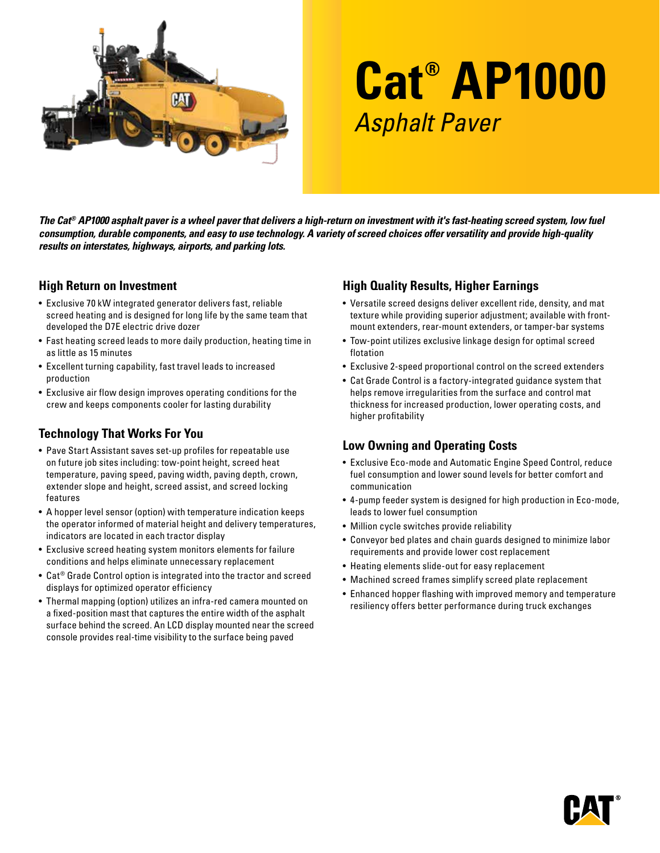

# **Cat® AP1000** Asphalt Paver

*The Cat® AP1000 asphalt paver is a wheel paver that delivers a high-return on investment with it's fast-heating screed system, low fuel consumption, durable components, and easy to use technology. A variety of screed choices offer versatility and provide high-quality results on interstates, highways, airports, and parking lots.* 

#### **High Return on Investment**

- Exclusive 70 kW integrated generator delivers fast, reliable screed heating and is designed for long life by the same team that developed the D7E electric drive dozer
- Fast heating screed leads to more daily production, heating time in as little as 15 minutes
- Excellent turning capability, fast travel leads to increased production
- Exclusive air flow design improves operating conditions for the crew and keeps components cooler for lasting durability

## **Technology That Works For You**

- Pave Start Assistant saves set-up profiles for repeatable use on future job sites including: tow-point height, screed heat temperature, paving speed, paving width, paving depth, crown, extender slope and height, screed assist, and screed locking features
- A hopper level sensor (option) with temperature indication keeps the operator informed of material height and delivery temperatures, indicators are located in each tractor display
- Exclusive screed heating system monitors elements for failure conditions and helps eliminate unnecessary replacement
- Cat® Grade Control option is integrated into the tractor and screed displays for optimized operator efficiency
- Thermal mapping (option) utilizes an infra-red camera mounted on a fixed-position mast that captures the entire width of the asphalt surface behind the screed. An LCD display mounted near the screed console provides real-time visibility to the surface being paved

## **High Quality Results, Higher Earnings**

- Versatile screed designs deliver excellent ride, density, and mat texture while providing superior adjustment; available with frontmount extenders, rear-mount extenders, or tamper-bar systems
- Tow-point utilizes exclusive linkage design for optimal screed flotation
- Exclusive 2-speed proportional control on the screed extenders
- Cat Grade Control is a factory-integrated guidance system that helps remove irregularities from the surface and control mat thickness for increased production, lower operating costs, and higher profitability

### **Low Owning and Operating Costs**

- Exclusive Eco-mode and Automatic Engine Speed Control, reduce fuel consumption and lower sound levels for better comfort and communication
- 4-pump feeder system is designed for high production in Eco-mode, leads to lower fuel consumption
- Million cycle switches provide reliability
- Conveyor bed plates and chain guards designed to minimize labor requirements and provide lower cost replacement
- Heating elements slide-out for easy replacement
- Machined screed frames simplify screed plate replacement
- Enhanced hopper flashing with improved memory and temperature resiliency offers better performance during truck exchanges

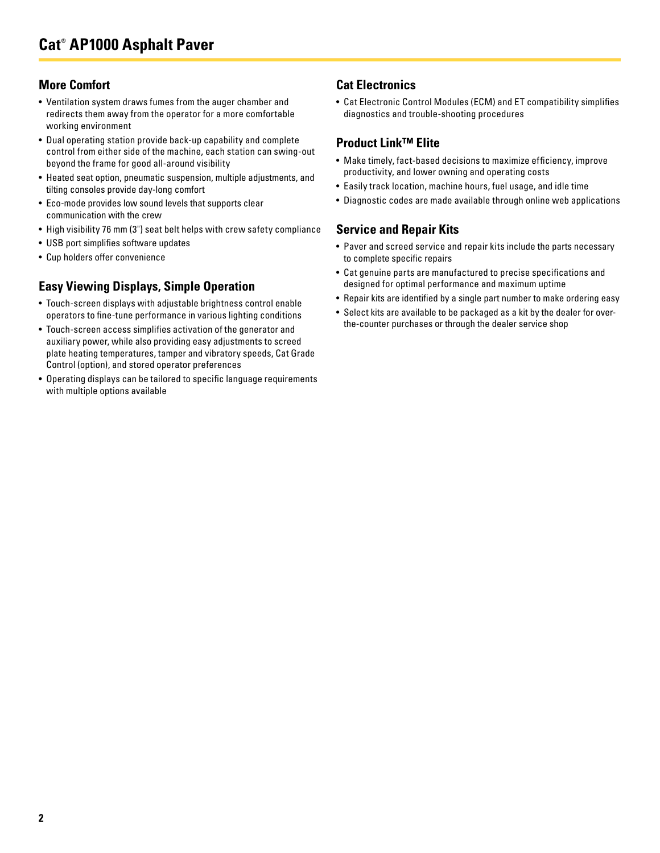## **More Comfort**

- Ventilation system draws fumes from the auger chamber and redirects them away from the operator for a more comfortable working environment
- Dual operating station provide back-up capability and complete control from either side of the machine, each station can swing-out beyond the frame for good all-around visibility
- Heated seat option, pneumatic suspension, multiple adjustments, and tilting consoles provide day-long comfort
- Eco-mode provides low sound levels that supports clear communication with the crew
- High visibility 76 mm (3") seat belt helps with crew safety compliance
- USB port simplifies software updates
- Cup holders offer convenience

## **Easy Viewing Displays, Simple Operation**

- Touch-screen displays with adjustable brightness control enable operators to fine-tune performance in various lighting conditions
- Touch-screen access simplifies activation of the generator and auxiliary power, while also providing easy adjustments to screed plate heating temperatures, tamper and vibratory speeds, Cat Grade Control (option), and stored operator preferences
- Operating displays can be tailored to specific language requirements with multiple options available

## **Cat Electronics**

• Cat Electronic Control Modules (ECM) and ET compatibility simplifies diagnostics and trouble-shooting procedures

#### **Product Link™ Elite**

- Make timely, fact-based decisions to maximize efficiency, improve productivity, and lower owning and operating costs
- Easily track location, machine hours, fuel usage, and idle time
- Diagnostic codes are made available through online web applications

### **Service and Repair Kits**

- Paver and screed service and repair kits include the parts necessary to complete specific repairs
- Cat genuine parts are manufactured to precise specifications and designed for optimal performance and maximum uptime
- Repair kits are identified by a single part number to make ordering easy
- Select kits are available to be packaged as a kit by the dealer for overthe-counter purchases or through the dealer service shop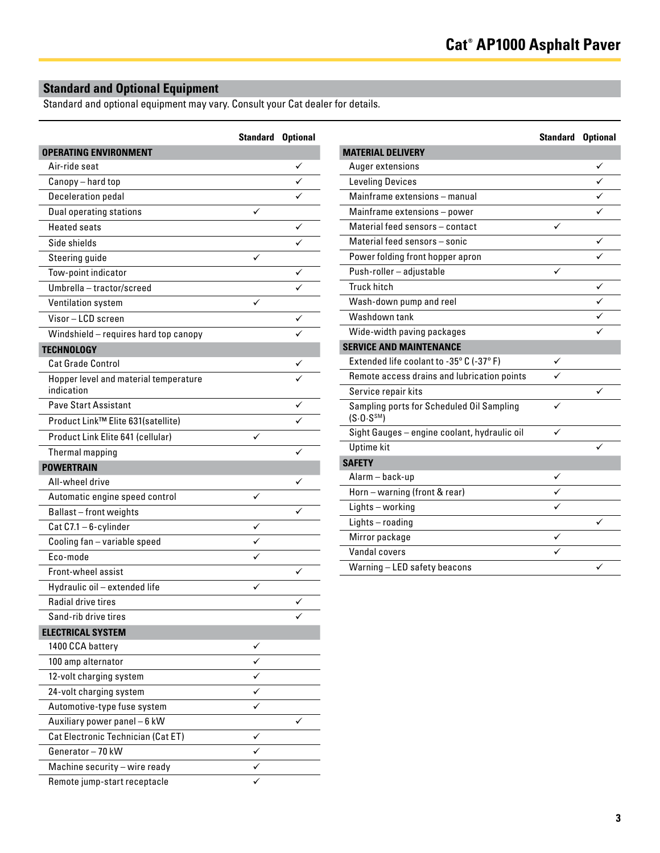**Standard Optional**

## **Standard and Optional Equipment**

Standard and optional equipment may vary. Consult your Cat dealer for details.

|                                                     | <b>Standard Optional</b> |  |
|-----------------------------------------------------|--------------------------|--|
| <b>OPERATING ENVIRONMENT</b>                        |                          |  |
| Air-ride seat                                       |                          |  |
| Canopy - hard top                                   |                          |  |
| Deceleration pedal                                  |                          |  |
| Dual operating stations                             |                          |  |
| <b>Heated seats</b>                                 |                          |  |
| Side shields                                        |                          |  |
| Steering guide                                      | ✓                        |  |
| Tow-point indicator                                 |                          |  |
| Umbrella - tractor/screed                           |                          |  |
| Ventilation system                                  | ✓                        |  |
| Visor-LCD screen                                    |                          |  |
| Windshield - requires hard top canopy               |                          |  |
| <b>TECHNOLOGY</b>                                   |                          |  |
| <b>Cat Grade Control</b>                            |                          |  |
| Hopper level and material temperature<br>indication |                          |  |
| <b>Pave Start Assistant</b>                         |                          |  |
| Product Link™ Elite 631(satellite)                  |                          |  |
| Product Link Elite 641 (cellular)                   |                          |  |
| Thermal mapping                                     |                          |  |
| <b>POWERTRAIN</b>                                   |                          |  |
| All-wheel drive                                     |                          |  |
| Automatic engine speed control                      | ✓                        |  |
| Ballast-front weights                               |                          |  |
| Cat C7.1 - 6-cylinder                               |                          |  |
| Cooling fan - variable speed                        |                          |  |
| Fco-mode                                            |                          |  |
| Front-wheel assist                                  |                          |  |
| Hydraulic oil - extended life                       |                          |  |
| Radial drive tires                                  |                          |  |
| Sand-rib drive tires                                |                          |  |
| <b>ELECTRICAL SYSTEM</b>                            |                          |  |
| 1400 CCA battery                                    | ✓                        |  |
| 100 amp alternator                                  |                          |  |
| 12-volt charging system                             | ✓                        |  |
| 24-volt charging system                             |                          |  |
| Automotive-type fuse system                         |                          |  |
| Auxiliary power panel - 6 kW                        |                          |  |
| Cat Electronic Technician (Cat ET)                  | ✓                        |  |
| Generator-70 kW                                     |                          |  |
| Machine security - wire ready                       | ✓                        |  |
| Remote jump-start receptacle                        |                          |  |

| <b>MATERIAL DELIVERY</b>                                             |   |   |
|----------------------------------------------------------------------|---|---|
| Auger extensions                                                     |   |   |
| <b>Leveling Devices</b>                                              |   |   |
| Mainframe extensions - manual                                        |   |   |
| Mainframe extensions - power                                         |   |   |
| Material feed sensors - contact                                      |   |   |
| Material feed sensors - sonic                                        |   | ✓ |
| Power folding front hopper apron                                     |   |   |
| Push-roller - adjustable                                             |   |   |
| Truck hitch                                                          |   | ✓ |
| Wash-down pump and reel                                              |   |   |
| Washdown tank                                                        |   |   |
| Wide-width paving packages                                           |   |   |
| <b>SERVICE AND MAINTENANCE</b>                                       |   |   |
| Extended life coolant to -35° C (-37° F)                             | ✓ |   |
| Remote access drains and lubrication points                          |   |   |
| Service repair kits                                                  |   | ✓ |
| Sampling ports for Scheduled Oil Sampling<br>(S.0. S <sup>SM</sup> ) |   |   |
| Sight Gauges - engine coolant, hydraulic oil                         | ✓ |   |
| <b>Uptime</b> kit                                                    |   |   |
| <b>SAFETY</b>                                                        |   |   |
| Alarm – back-up                                                      |   |   |
| Horn - warning (front & rear)                                        |   |   |
| Lights-working                                                       |   |   |
| Lights-roading                                                       |   |   |
| Mirror package                                                       | ✓ |   |
| Vandal covers                                                        |   |   |
| Warning - LED safety beacons                                         |   |   |